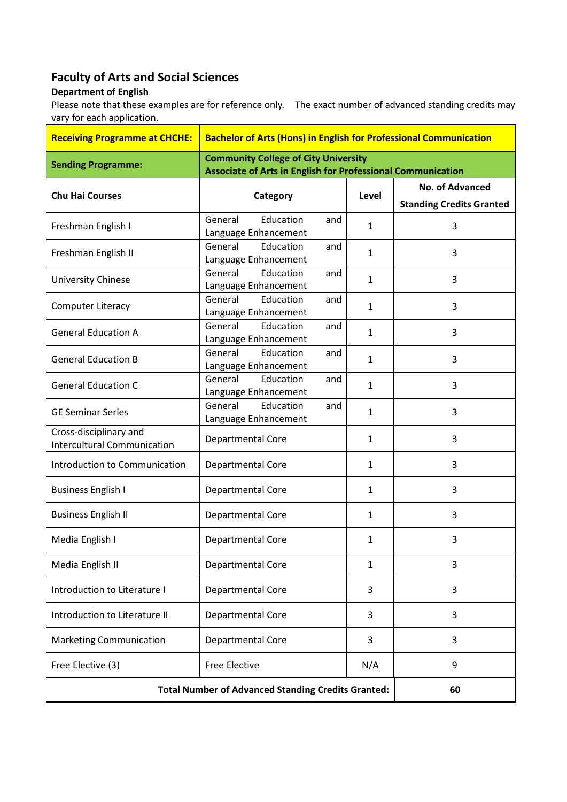## **Faculty of Arts and Social Sciences**

## **Department of English**

Please note that these examples are for reference only. The exact number of advanced standing credits may vary for each application.

| <b>Receiving Programme at CHCHE:</b>                         | <b>Bachelor of Arts (Hons) in English for Professional Communication</b>                                          |              |                                                           |
|--------------------------------------------------------------|-------------------------------------------------------------------------------------------------------------------|--------------|-----------------------------------------------------------|
| <b>Sending Programme:</b>                                    | <b>Community College of City University</b><br><b>Associate of Arts in English for Professional Communication</b> |              |                                                           |
| <b>Chu Hai Courses</b>                                       | Category                                                                                                          | Level        | <b>No. of Advanced</b><br><b>Standing Credits Granted</b> |
| Freshman English I                                           | Education<br>General<br>and<br>Language Enhancement                                                               | $\mathbf{1}$ | 3                                                         |
| Freshman English II                                          | General<br>Education<br>and<br>Language Enhancement                                                               | 1            | 3                                                         |
| University Chinese                                           | General<br>Education<br>and<br>Language Enhancement                                                               | 1            | 3                                                         |
| <b>Computer Literacy</b>                                     | General<br>Education<br>and<br>Language Enhancement                                                               | $\mathbf{1}$ | 3                                                         |
| <b>General Education A</b>                                   | General<br>Education<br>and<br>Language Enhancement                                                               | $\mathbf{1}$ | 3                                                         |
| <b>General Education B</b>                                   | General<br>Education<br>and<br>Language Enhancement                                                               | 1            | 3                                                         |
| <b>General Education C</b>                                   | General<br>Education<br>and<br>Language Enhancement                                                               | $\mathbf{1}$ | 3                                                         |
| <b>GE Seminar Series</b>                                     | Education<br>General<br>and<br>Language Enhancement                                                               | 1            | 3                                                         |
| Cross-disciplinary and<br><b>Intercultural Communication</b> | Departmental Core                                                                                                 | 1            | 3                                                         |
| Introduction to Communication                                | Departmental Core                                                                                                 | $\mathbf{1}$ | 3                                                         |
| <b>Business English I</b>                                    | Departmental Core                                                                                                 | 1            | 3                                                         |
| <b>Business English II</b>                                   | Departmental Core                                                                                                 | 1            | 3                                                         |
| Media English I                                              | Departmental Core                                                                                                 | 1            | 3                                                         |
| Media English II                                             | Departmental Core                                                                                                 | 1            | 3                                                         |
| Introduction to Literature I                                 | Departmental Core                                                                                                 | 3            | 3                                                         |
| Introduction to Literature II                                | Departmental Core                                                                                                 | 3            | 3                                                         |
| <b>Marketing Communication</b>                               | Departmental Core                                                                                                 | 3            | 3                                                         |
| Free Elective (3)                                            | <b>Free Elective</b>                                                                                              | N/A          | 9                                                         |
| <b>Total Number of Advanced Standing Credits Granted:</b>    |                                                                                                                   |              | 60                                                        |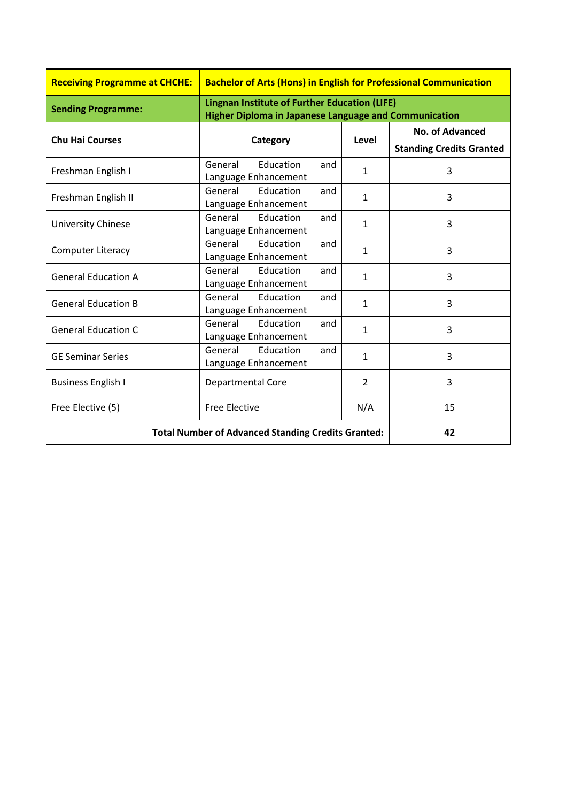| <b>Receiving Programme at CHCHE:</b>                      | <b>Bachelor of Arts (Hons) in English for Professional Communication</b>                                             |                |                                                           |
|-----------------------------------------------------------|----------------------------------------------------------------------------------------------------------------------|----------------|-----------------------------------------------------------|
| <b>Sending Programme:</b>                                 | <b>Lingnan Institute of Further Education (LIFE)</b><br><b>Higher Diploma in Japanese Language and Communication</b> |                |                                                           |
| <b>Chu Hai Courses</b>                                    | Category                                                                                                             | Level          | <b>No. of Advanced</b><br><b>Standing Credits Granted</b> |
| Freshman English I                                        | General<br><b>Education</b><br>and<br>Language Enhancement                                                           | $\mathbf{1}$   | 3                                                         |
| Freshman English II                                       | General<br><b>Education</b><br>and<br>Language Enhancement                                                           | $\mathbf{1}$   | 3                                                         |
| <b>University Chinese</b>                                 | General<br>Education<br>and<br>Language Enhancement                                                                  | $\mathbf{1}$   | 3                                                         |
| <b>Computer Literacy</b>                                  | Education<br>General<br>and<br>Language Enhancement                                                                  | $\mathbf{1}$   | 3                                                         |
| <b>General Education A</b>                                | General<br>Education<br>and<br>Language Enhancement                                                                  | $\mathbf{1}$   | $\overline{3}$                                            |
| <b>General Education B</b>                                | Education<br>General<br>and<br>Language Enhancement                                                                  | $\mathbf{1}$   | $\overline{3}$                                            |
| <b>General Education C</b>                                | Education<br>General<br>and<br>Language Enhancement                                                                  | $\mathbf{1}$   | 3                                                         |
| <b>GE Seminar Series</b>                                  | Education<br>General<br>and<br>Language Enhancement                                                                  | $\mathbf{1}$   | 3                                                         |
| <b>Business English I</b>                                 | Departmental Core                                                                                                    | $\overline{2}$ | $\overline{3}$                                            |
| Free Elective (5)                                         | <b>Free Elective</b>                                                                                                 | N/A            | 15                                                        |
| <b>Total Number of Advanced Standing Credits Granted:</b> |                                                                                                                      | 42             |                                                           |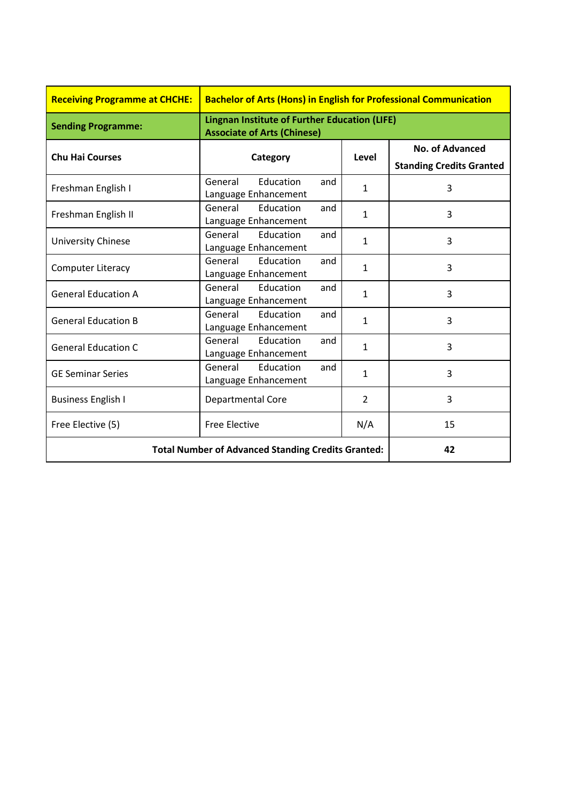| <b>Receiving Programme at CHCHE:</b>                      | <b>Bachelor of Arts (Hons) in English for Professional Communication</b>                   |                |                                                    |
|-----------------------------------------------------------|--------------------------------------------------------------------------------------------|----------------|----------------------------------------------------|
| <b>Sending Programme:</b>                                 | <b>Lingnan Institute of Further Education (LIFE)</b><br><b>Associate of Arts (Chinese)</b> |                |                                                    |
| <b>Chu Hai Courses</b>                                    | Category                                                                                   | Level          | No. of Advanced<br><b>Standing Credits Granted</b> |
| Freshman English I                                        | Education<br>General<br>and<br>Language Enhancement                                        | $\mathbf{1}$   | 3                                                  |
| Freshman English II                                       | General<br>Education<br>and<br>Language Enhancement                                        | 1              | 3                                                  |
| <b>University Chinese</b>                                 | General<br>Education<br>and<br>Language Enhancement                                        | $\mathbf{1}$   | 3                                                  |
| <b>Computer Literacy</b>                                  | General Education<br>and<br>Language Enhancement                                           | $\mathbf{1}$   | 3                                                  |
| <b>General Education A</b>                                | General<br>Education<br>and<br>Language Enhancement                                        | 1              | 3                                                  |
| <b>General Education B</b>                                | General<br>Education<br>and<br>Language Enhancement                                        | $\mathbf{1}$   | 3                                                  |
| <b>General Education C</b>                                | Education<br>General<br>and<br>Language Enhancement                                        | $\mathbf{1}$   | 3                                                  |
| <b>GE Seminar Series</b>                                  | General<br>Education<br>and<br>Language Enhancement                                        | $\mathbf{1}$   | 3                                                  |
| <b>Business English I</b>                                 | <b>Departmental Core</b>                                                                   | $\overline{2}$ | 3                                                  |
| Free Elective (5)                                         | <b>Free Elective</b>                                                                       | N/A            | 15                                                 |
| <b>Total Number of Advanced Standing Credits Granted:</b> |                                                                                            | 42             |                                                    |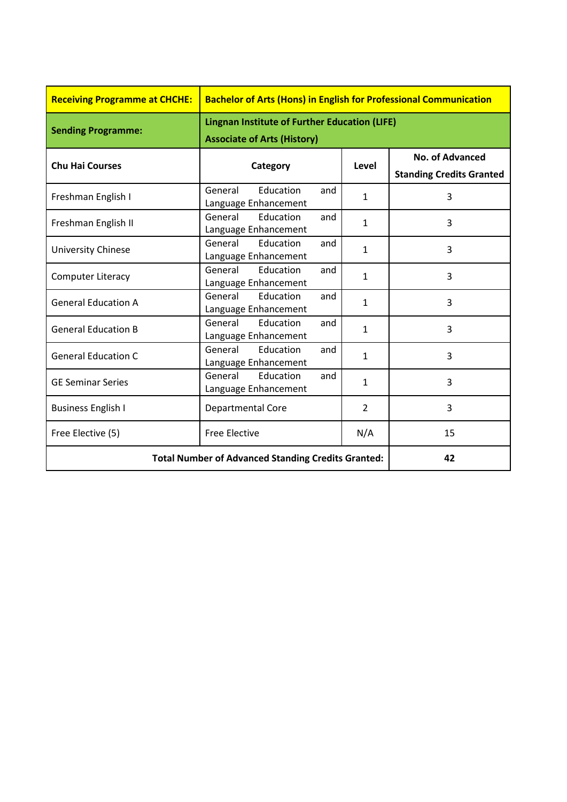| <b>Receiving Programme at CHCHE:</b>                      | <b>Bachelor of Arts (Hons) in English for Professional Communication</b>                   |                |                                                           |
|-----------------------------------------------------------|--------------------------------------------------------------------------------------------|----------------|-----------------------------------------------------------|
| <b>Sending Programme:</b>                                 | <b>Lingnan Institute of Further Education (LIFE)</b><br><b>Associate of Arts (History)</b> |                |                                                           |
| <b>Chu Hai Courses</b>                                    | Category                                                                                   | Level          | <b>No. of Advanced</b><br><b>Standing Credits Granted</b> |
| Freshman English I                                        | General<br>Education<br>and<br>Language Enhancement                                        | $\mathbf{1}$   | 3                                                         |
| Freshman English II                                       | General<br>Education<br>and<br>Language Enhancement                                        | $\mathbf{1}$   | 3                                                         |
| University Chinese                                        | General<br>Education<br>and<br>Language Enhancement                                        | $\mathbf{1}$   | 3                                                         |
| <b>Computer Literacy</b>                                  | General<br>Education<br>and<br>Language Enhancement                                        | $\mathbf{1}$   | 3                                                         |
| <b>General Education A</b>                                | General<br>Education<br>and<br>Language Enhancement                                        | $\mathbf{1}$   | 3                                                         |
| <b>General Education B</b>                                | General<br>Education<br>and<br>Language Enhancement                                        | $\mathbf{1}$   | 3                                                         |
| <b>General Education C</b>                                | General<br><b>Education</b><br>and<br>Language Enhancement                                 | $\mathbf{1}$   | 3                                                         |
| <b>GE Seminar Series</b>                                  | General<br>Education<br>and<br>Language Enhancement                                        | $\mathbf{1}$   | 3                                                         |
| <b>Business English I</b>                                 | Departmental Core                                                                          | $\overline{2}$ | $\overline{3}$                                            |
| Free Elective (5)                                         | <b>Free Elective</b>                                                                       | N/A            | 15                                                        |
| <b>Total Number of Advanced Standing Credits Granted:</b> |                                                                                            | 42             |                                                           |